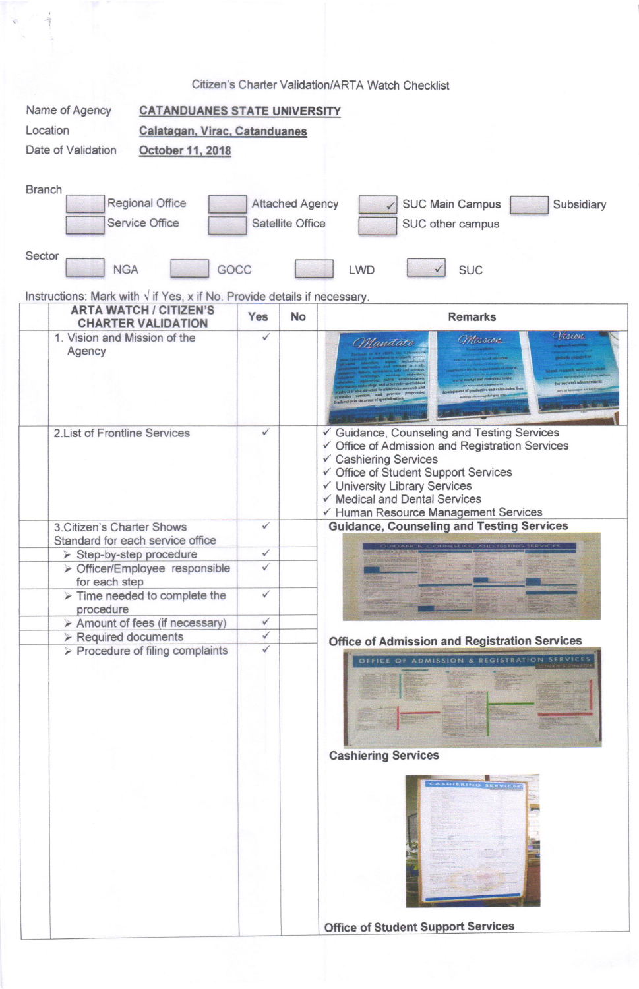|                                                                                                                                                                                   |                                                                                                                                                 |              |           | Citizen's Charter Validation/ARTA Watch Checklist                                                                                                                                                                                                                       |  |  |
|-----------------------------------------------------------------------------------------------------------------------------------------------------------------------------------|-------------------------------------------------------------------------------------------------------------------------------------------------|--------------|-----------|-------------------------------------------------------------------------------------------------------------------------------------------------------------------------------------------------------------------------------------------------------------------------|--|--|
|                                                                                                                                                                                   | Name of Agency<br><b>CATANDUANES STATE UNIVERSITY</b>                                                                                           |              |           |                                                                                                                                                                                                                                                                         |  |  |
| Location                                                                                                                                                                          | Calatagan, Virac, Catanduanes                                                                                                                   |              |           |                                                                                                                                                                                                                                                                         |  |  |
| Date of Validation<br>October 11, 2018                                                                                                                                            |                                                                                                                                                 |              |           |                                                                                                                                                                                                                                                                         |  |  |
|                                                                                                                                                                                   |                                                                                                                                                 |              |           |                                                                                                                                                                                                                                                                         |  |  |
| <b>Branch</b><br><b>Regional Office</b><br><b>Attached Agency</b><br><b>SUC Main Campus</b><br>Subsidiary<br><b>Service Office</b><br><b>Satellite Office</b><br>SUC other campus |                                                                                                                                                 |              |           |                                                                                                                                                                                                                                                                         |  |  |
|                                                                                                                                                                                   |                                                                                                                                                 |              |           |                                                                                                                                                                                                                                                                         |  |  |
| Sector<br><b>NGA</b><br>GOCC<br><b>SUC</b><br>LWD                                                                                                                                 |                                                                                                                                                 |              |           |                                                                                                                                                                                                                                                                         |  |  |
|                                                                                                                                                                                   | Instructions: Mark with $\sqrt{ }$ if Yes, x if No. Provide details if necessary.<br><b>ARTA WATCH / CITIZEN'S</b><br><b>CHARTER VALIDATION</b> | Yes          | <b>No</b> | <b>Remarks</b>                                                                                                                                                                                                                                                          |  |  |
|                                                                                                                                                                                   | 1. Vision and Mission of the<br>Agency                                                                                                          | ✓            |           | $1\omega$<br>Mission<br>Mandate<br>ertake research af<br>octive and value-laden live<br>sion services, and provide<br>lerably in its areas of specializatio                                                                                                             |  |  |
|                                                                                                                                                                                   | 2. List of Frontline Services                                                                                                                   | ✓            |           | Guidance, Counseling and Testing Services<br>√ Office of Admission and Registration Services<br>✓ Cashiering Services<br>✔ Office of Student Support Services<br>✓ University Library Services<br>√ Medical and Dental Services<br>← Human Resource Management Services |  |  |
|                                                                                                                                                                                   | 3. Citizen's Charter Shows                                                                                                                      | $\checkmark$ |           | <b>Guidance, Counseling and Testing Services</b>                                                                                                                                                                                                                        |  |  |
|                                                                                                                                                                                   | Standard for each service office                                                                                                                |              |           |                                                                                                                                                                                                                                                                         |  |  |
|                                                                                                                                                                                   | > Step-by-step procedure<br>> Officer/Employee responsible                                                                                      | ✓<br>✓       |           |                                                                                                                                                                                                                                                                         |  |  |
|                                                                                                                                                                                   | for each step                                                                                                                                   |              |           |                                                                                                                                                                                                                                                                         |  |  |
|                                                                                                                                                                                   | $\triangleright$ Time needed to complete the<br>procedure                                                                                       | $\checkmark$ |           |                                                                                                                                                                                                                                                                         |  |  |
|                                                                                                                                                                                   | > Amount of fees (if necessary)                                                                                                                 | $\checkmark$ |           |                                                                                                                                                                                                                                                                         |  |  |
|                                                                                                                                                                                   | $\triangleright$ Required documents                                                                                                             | ✓            |           | <b>Office of Admission and Registration Services</b>                                                                                                                                                                                                                    |  |  |
|                                                                                                                                                                                   | $\triangleright$ Procedure of filing complaints                                                                                                 | ✓            |           | OFFICE OF ADMISSION & REGISTRATION SERVICES<br><b>Cashiering Services</b>                                                                                                                                                                                               |  |  |
|                                                                                                                                                                                   |                                                                                                                                                 |              |           | <b>Office of Student Support Services</b>                                                                                                                                                                                                                               |  |  |

 $\label{eq:2.1} \frac{1}{\left(1-\frac{1}{\sqrt{2}}\right)^{2}}\left(\frac{1}{\sqrt{2}}\right)^{2}+\frac{1}{\sqrt{2}}\left(\frac{1}{\sqrt{2}}\right)^{2}+\frac{1}{\sqrt{2}}\left(\frac{1}{\sqrt{2}}\right)^{2}+\frac{1}{\sqrt{2}}\left(\frac{1}{\sqrt{2}}\right)^{2}+\frac{1}{\sqrt{2}}\left(\frac{1}{\sqrt{2}}\right)^{2}+\frac{1}{\sqrt{2}}\left(\frac{1}{\sqrt{2}}\right)^{2}+\frac{1}{\sqrt{2}}\left(\frac{1}{\sqrt{2}}\right)^{2}$